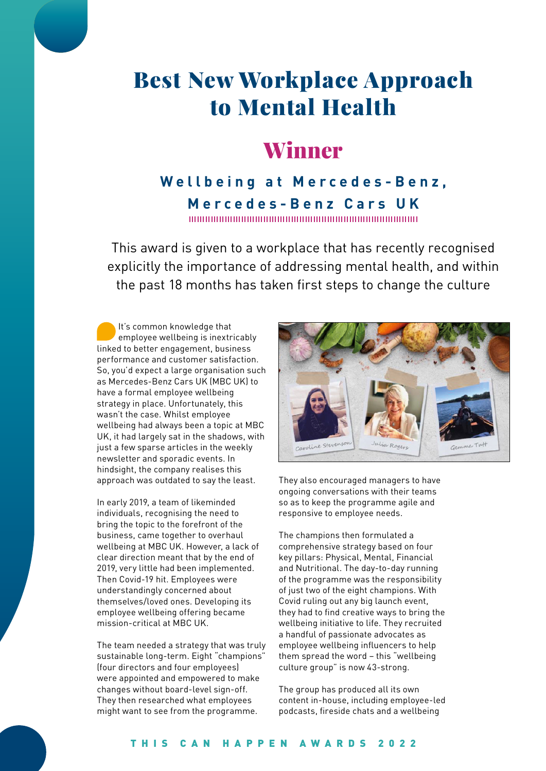# Best New Workplace Approach to Mental Health

## Winner

#### **Wellbeing at Mercedes-Benz, Mercedes-Benz Cars UK**

This award is given to a workplace that has recently recognised explicitly the importance of addressing mental health, and within the past 18 months has taken first steps to change the culture

It's common knowledge that employee wellbeing is inextricably linked to better engagement, business performance and customer satisfaction. So, you'd expect a large organisation such as Mercedes-Benz Cars UK (MBC UK) to have a formal employee wellbeing strategy in place. Unfortunately, this wasn't the case. Whilst employee wellbeing had always been a topic at MBC UK, it had largely sat in the shadows, with just a few sparse articles in the weekly newsletter and sporadic events. In hindsight, the company realises this approach was outdated to say the least.

In early 2019, a team of likeminded individuals, recognising the need to bring the topic to the forefront of the business, came together to overhaul wellbeing at MBC UK. However, a lack of clear direction meant that by the end of 2019, very little had been implemented. Then Covid-19 hit. Employees were understandingly concerned about themselves/loved ones. Developing its employee wellbeing offering became mission-critical at MBC UK.

The team needed a strategy that was truly sustainable long-term. Eight "champions" (four directors and four employees) were appointed and empowered to make changes without board-level sign-off. They then researched what employees might want to see from the programme.



They also encouraged managers to have ongoing conversations with their teams so as to keep the programme agile and responsive to employee needs.

The champions then formulated a comprehensive strategy based on four key pillars: Physical, Mental, Financial and Nutritional. The day-to-day running of the programme was the responsibility of just two of the eight champions. With Covid ruling out any big launch event, they had to find creative ways to bring the wellbeing initiative to life. They recruited a handful of passionate advocates as employee wellbeing influencers to help them spread the word – this "wellbeing culture group" is now 43-strong.

The group has produced all its own content in-house, including employee-led podcasts, fireside chats and a wellbeing

#### THIS CAN HAPPEN AWARDS 2022